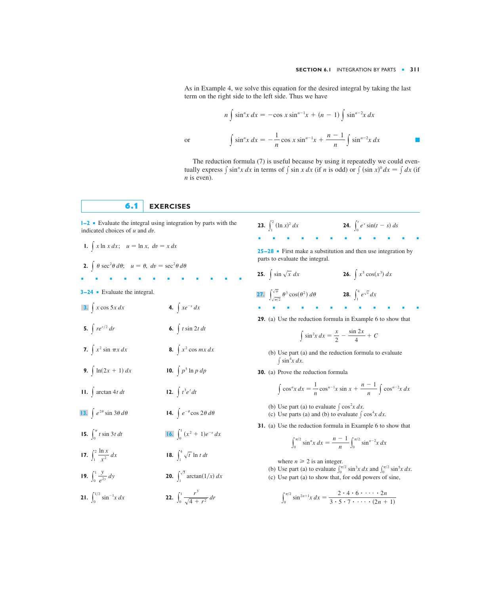As in Example 4, we solve this equation for the desired integral by taking the last term on the right side to the left side. Thus we have

$$
n \int \sin^n x \, dx = -\cos x \sin^{n-1} x + (n-1) \int \sin^{n-2} x \, dx
$$
  
or  

$$
\int \sin^n x \, dx = -\frac{1}{n} \cos x \sin^{n-1} x + \frac{n-1}{n} \int \sin^{n-2} x \, dx
$$

The reduction formula (7) is useful because by using it repeatedly we could eventually express  $\int \sin^n x \, dx$  in terms of  $\int \sin x \, dx$  (if *n* is odd) or  $\int (\sin x)^0 \, dx = \int dx$  (if *n* is even).

## **6.1 EXERCISES**

**1–2** ■ Evaluate the integral using integration by parts with the indicated choices of *u* and *dv*.

■■■■■■■■■■■■

**1.**  $\int x \ln x \, dx$ ;  $u = \ln x$ ,  $dv = x \, dx$ 

**2.** 
$$
\int \theta \sec^2 \theta \, d\theta; \quad u = \theta, \ dv = \sec^2 \theta \, d\theta
$$

**3–24** ■ Evaluate the integral.

- **4.**  $\int xe^{-x} dx$  $\int x \cos 5x \, dx$
- **5.**  $\int r e^{r/2} dr$ 6.  $\int t \sin 2t \, dt$
- **7.**  $\int x^2 \sin \pi x \, dx$  **8. 8.**  $\int x^2 \cos mx \, dx$

 $\int t^3$ 

- **9.**  $\int \ln(2x + 1) dx$  **10.**  $\int p^5 \ln p dp$
- **11.**  $\int \arctan 4t \, dt$  **12.**  $\int t^3 e^t \, dt$
- **14.**  $\int e^{-\theta}$ **13.**  $\int e^{2\theta} \sin 3\theta \, d\theta$
- **15.**  $\int_0^{\pi} t \sin 3t \, dt$  $\int_0^1$  $\int_0^{\pi} t \sin 3t \, dt$  **16.**  $\int_0^1 (x^2 + 1)e^{-x} \, dx$
- **17.**  $\int_{1}^{\infty} \frac{1}{x^2} dx$  **18.**  $\int_{1}^{2} \frac{\ln x}{x^2} dx$  **18.**  $\int_{1}^{4} \sqrt{t} \ln t dt$  $\frac{\ln x}{x^2}$  *dx*
- **19.**  $\int_0^1 \frac{dy}{e^{2y}} dy$  **20.**  $\int_0^1 \frac{y}{e^{2y}} dy$  **20.**  $\int_1^{\sqrt{3}} \arctan(1/x) dx$  $\frac{y}{e^{2y}}$  *dy*

**21.** 
$$
\int_0^{1/2} \sin^{-1}x \, dx
$$
 **22.** 
$$
\int_0^1 \frac{r^3}{\sqrt{4+r^2}} \, dr
$$

**23.**  $\int_1^2 (\ln x)^2 dx$  **24.** ■■■■■■■■■■■■  $\int_0^t$  $\int_{1}^{2} (\ln x)^{2} dx$  **24.**  $\int_{0}^{t} e^{s} \sin(t - s) ds$ 

**25–28** ■ First make a substitution and then use integration by parts to evaluate the integral.

- **28.**  $\int_{1}^{4}$ **27.**  $\int_{\sqrt{\pi/2}}^{\sqrt{\pi}} \theta^3 \cos(\theta^2) d\theta$  **28.**  $\int_{1}^{4} e^{\sqrt{x}} dx$  $\int \sin \sqrt{x} \ dx$  26.  $\int x^5 \cos(x^3) \ dx$
- **29.** (a) Use the reduction formula in Example 6 to show that

$$
\int \sin^2 x \, dx = \frac{x}{2} - \frac{\sin 2x}{4} + C
$$

■■■■■■■■■■■■

- (b) Use part (a) and the reduction formula to evaluate  $\int \sin^4 x \, dx$ .
- **30.** (a) Prove the reduction formula

**25.**  $\int \sin \sqrt{x} dx$ 

$$
\int \cos^{n} x \, dx = \frac{1}{n} \cos^{n-1} x \sin x + \frac{n-1}{n} \int \cos^{n-2} x \, dx
$$

- (b) Use part (a) to evaluate  $\int \cos^2 x \, dx$ .
- (c) Use parts (a) and (b) to evaluate  $\int \cos^4 x \, dx$ .
- **31.** (a) Use the reduction formula in Example 6 to show that

$$
\int_0^{\pi/2} \sin^n x \, dx = \frac{n-1}{n} \int_0^{\pi/2} \sin^{n-2}x \, dx
$$

where  $n \geq 2$  is an integer.

- (b) Use part (a) to evaluate  $\int_0^{\pi/2} \sin^3 x \, dx$  and  $\int_0^{\pi/2} \sin^5 x \, dx$ .
- (c) Use part (a) to show that, for odd powers of sine,

$$
\int_0^{\pi/2} \sin^{2n+1}x \, dx = \frac{2 \cdot 4 \cdot 6 \cdot \cdot \cdot \cdot 2n}{3 \cdot 5 \cdot 7 \cdot \cdot \cdot \cdot (2n+1)}
$$